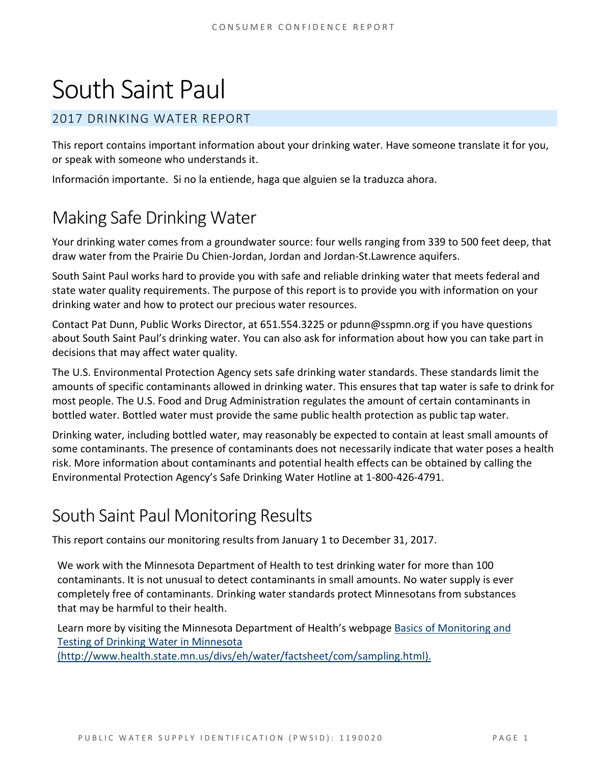# South Saint Paul

#### 2017 DRINKING WATER REPORT

This report contains important information about your drinking water. Have someone translate it for you, or speak with someone who understands it.

Información importante. Si no la entiende, haga que alguien se la traduzca ahora.

# Making Safe Drinking Water

Your drinking water comes from a groundwater source: four wells ranging from 339 to 500 feet deep, that draw water from the Prairie Du Chien-Jordan, Jordan and Jordan-St.Lawrence aquifers.

South Saint Paul works hard to provide you with safe and reliable drinking water that meets federal and state water quality requirements. The purpose of this report is to provide you with information on your drinking water and how to protect our precious water resources.

Contact Pat Dunn, Public Works Director, at 651.554.3225 or pdunn@sspmn.org if you have questions about South Saint Paul's drinking water. You can also ask for information about how you can take part in decisions that may affect water quality.

The U.S. Environmental Protection Agency sets safe drinking water standards. These standards limit the amounts of specific contaminants allowed in drinking water. This ensures that tap water is safe to drink for most people. The U.S. Food and Drug Administration regulates the amount of certain contaminants in bottled water. Bottled water must provide the same public health protection as public tap water.

Drinking water, including bottled water, may reasonably be expected to contain at least small amounts of some contaminants. The presence of contaminants does not necessarily indicate that water poses a health risk. More information about contaminants and potential health effects can be obtained by calling the Environmental Protection Agency's Safe Drinking Water Hotline at 1-800-426-4791.

# South Saint Paul Monitoring Results

This report contains our monitoring results from January 1 to December 31, 2017.

We work with the Minnesota Department of Health to test drinking water for more than 100 contaminants. It is not unusual to detect contaminants in small amounts. No water supply is ever completely free of contaminants. Drinking water standards protect Minnesotans from substances that may be harmful to their health.

Learn more by visiting the Minnesota Department of Health's webpag[e Basics of Monitoring and](http://www.health.state.mn.us/divs/eh/water/factsheet/com/sampling.html)  [Testing of Drinking Water in Minnesota](http://www.health.state.mn.us/divs/eh/water/factsheet/com/sampling.html) 

[\(http://www.health.state.mn.us/divs/eh/water/factsheet/com/sampling.html\).](http://www.health.state.mn.us/divs/eh/water/factsheet/com/sampling.html)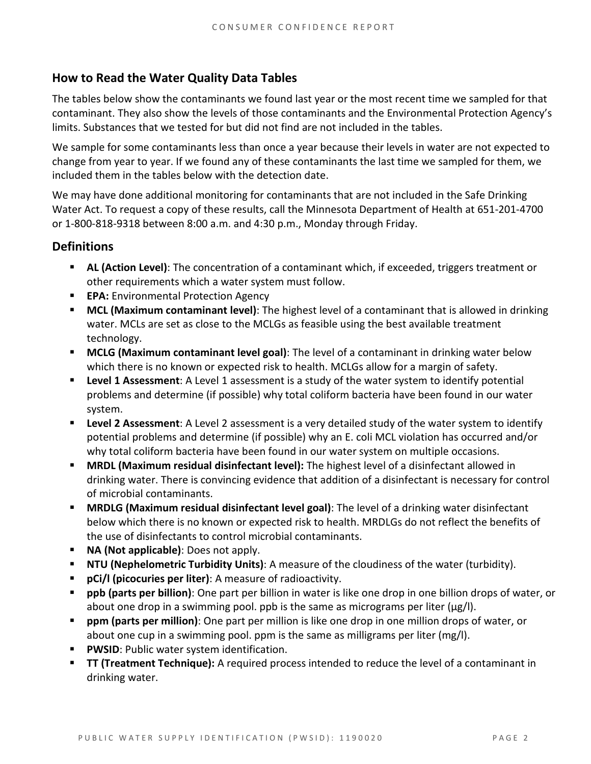#### **How to Read the Water Quality Data Tables**

The tables below show the contaminants we found last year or the most recent time we sampled for that contaminant. They also show the levels of those contaminants and the Environmental Protection Agency's limits. Substances that we tested for but did not find are not included in the tables.

We sample for some contaminants less than once a year because their levels in water are not expected to change from year to year. If we found any of these contaminants the last time we sampled for them, we included them in the tables below with the detection date.

We may have done additional monitoring for contaminants that are not included in the Safe Drinking Water Act. To request a copy of these results, call the Minnesota Department of Health at 651-201-4700 or 1-800-818-9318 between 8:00 a.m. and 4:30 p.m., Monday through Friday.

#### **Definitions**

- **AL (Action Level)**: The concentration of a contaminant which, if exceeded, triggers treatment or other requirements which a water system must follow.
- **EPA:** Environmental Protection Agency
- **MCL (Maximum contaminant level)**: The highest level of a contaminant that is allowed in drinking water. MCLs are set as close to the MCLGs as feasible using the best available treatment technology.
- **MCLG (Maximum contaminant level goal)**: The level of a contaminant in drinking water below which there is no known or expected risk to health. MCLGs allow for a margin of safety.
- **Level 1 Assessment:** A Level 1 assessment is a study of the water system to identify potential problems and determine (if possible) why total coliform bacteria have been found in our water system.
- **Level 2 Assessment**: A Level 2 assessment is a very detailed study of the water system to identify potential problems and determine (if possible) why an E. coli MCL violation has occurred and/or why total coliform bacteria have been found in our water system on multiple occasions.
- **MRDL (Maximum residual disinfectant level):** The highest level of a disinfectant allowed in drinking water. There is convincing evidence that addition of a disinfectant is necessary for control of microbial contaminants.
- **MRDLG (Maximum residual disinfectant level goal)**: The level of a drinking water disinfectant below which there is no known or expected risk to health. MRDLGs do not reflect the benefits of the use of disinfectants to control microbial contaminants.
- **NA (Not applicable)**: Does not apply.
- **NTU (Nephelometric Turbidity Units)**: A measure of the cloudiness of the water (turbidity).
- **pCi/l (picocuries per liter)**: A measure of radioactivity.
- **ppb (parts per billion)**: One part per billion in water is like one drop in one billion drops of water, or about one drop in a swimming pool. ppb is the same as micrograms per liter ( $\mu$ g/l).
- **ppm (parts per million)**: One part per million is like one drop in one million drops of water, or about one cup in a swimming pool. ppm is the same as milligrams per liter (mg/l).
- **PWSID:** Public water system identification.
- **TT (Treatment Technique):** A required process intended to reduce the level of a contaminant in drinking water.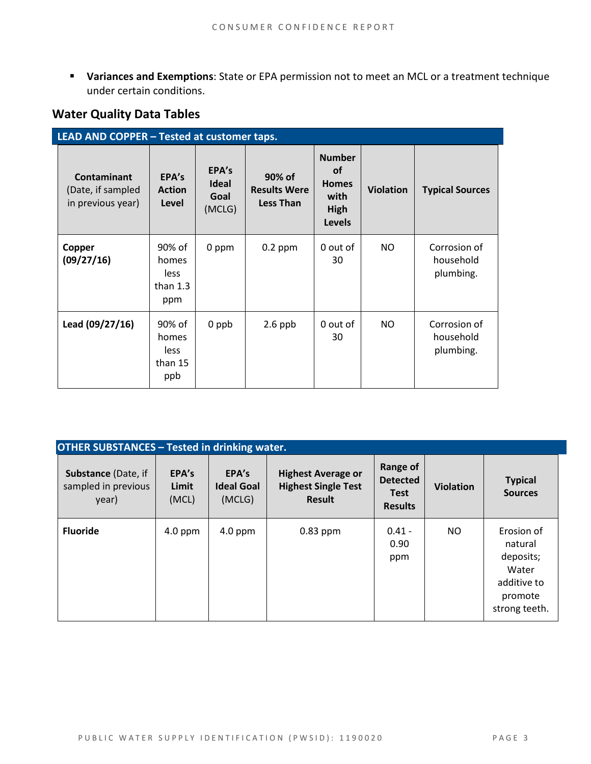**Variances and Exemptions**: State or EPA permission not to meet an MCL or a treatment technique under certain conditions.

#### **Water Quality Data Tables**

| LEAD AND COPPER - Tested at customer taps.            |                                              |                                         |                                                   |                                                                             |                  |                                        |  |
|-------------------------------------------------------|----------------------------------------------|-----------------------------------------|---------------------------------------------------|-----------------------------------------------------------------------------|------------------|----------------------------------------|--|
| Contaminant<br>(Date, if sampled<br>in previous year) | EPA's<br><b>Action</b><br>Level              | EPA's<br><b>Ideal</b><br>Goal<br>(MCLG) | 90% of<br><b>Results Were</b><br><b>Less Than</b> | <b>Number</b><br><b>of</b><br><b>Homes</b><br>with<br>High<br><b>Levels</b> | <b>Violation</b> | <b>Typical Sources</b>                 |  |
| Copper<br>(09/27/16)                                  | 90% of<br>homes<br>less<br>than $1.3$<br>ppm | 0 ppm                                   | $0.2$ ppm                                         | 0 out of<br>30                                                              | NO.              | Corrosion of<br>household<br>plumbing. |  |
| Lead (09/27/16)                                       | 90% of<br>homes<br>less<br>than 15<br>ppb    | 0 ppb                                   | $2.6$ ppb                                         | 0 out of<br>30                                                              | NO.              | Corrosion of<br>household<br>plumbing. |  |

| <b>OTHER SUBSTANCES - Tested in drinking water.</b>        |                         |                                      |                                                                          |                                                              |                  |                                                                                        |  |  |
|------------------------------------------------------------|-------------------------|--------------------------------------|--------------------------------------------------------------------------|--------------------------------------------------------------|------------------|----------------------------------------------------------------------------------------|--|--|
| <b>Substance (Date, if</b><br>sampled in previous<br>year) | EPA's<br>Limit<br>(MCL) | EPA's<br><b>Ideal Goal</b><br>(MCLG) | <b>Highest Average or</b><br><b>Highest Single Test</b><br><b>Result</b> | Range of<br><b>Detected</b><br><b>Test</b><br><b>Results</b> | <b>Violation</b> | <b>Typical</b><br><b>Sources</b>                                                       |  |  |
| <b>Fluoride</b>                                            | 4.0 ppm                 | $4.0$ ppm                            | $0.83$ ppm                                                               | $0.41 -$<br>0.90<br>ppm                                      | <b>NO</b>        | Erosion of<br>natural<br>deposits;<br>Water<br>additive to<br>promote<br>strong teeth. |  |  |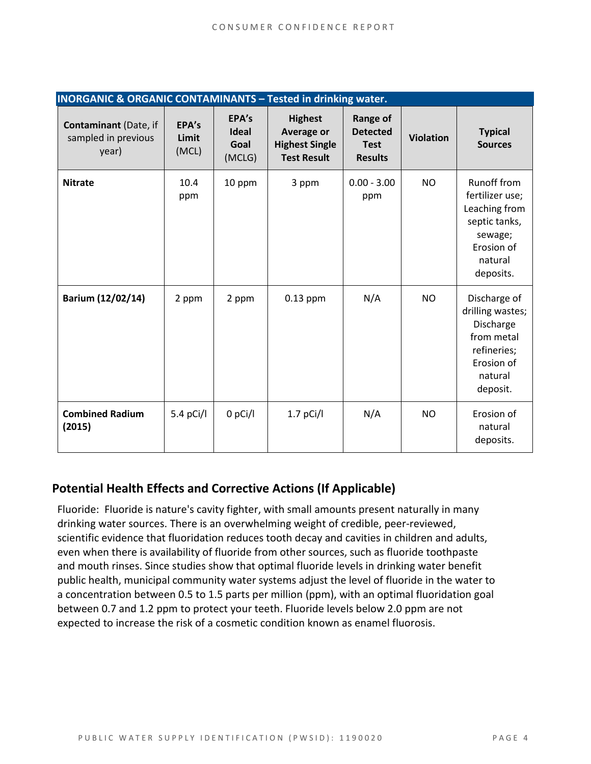| <b>INORGANIC &amp; ORGANIC CONTAMINANTS - Tested in drinking water.</b> |                         |                                         |                                                                             |                                                                     |                  |                                                                                                                   |  |
|-------------------------------------------------------------------------|-------------------------|-----------------------------------------|-----------------------------------------------------------------------------|---------------------------------------------------------------------|------------------|-------------------------------------------------------------------------------------------------------------------|--|
| Contaminant (Date, if<br>sampled in previous<br>year)                   | EPA's<br>Limit<br>(MCL) | EPA's<br><b>Ideal</b><br>Goal<br>(MCLG) | <b>Highest</b><br>Average or<br><b>Highest Single</b><br><b>Test Result</b> | <b>Range of</b><br><b>Detected</b><br><b>Test</b><br><b>Results</b> | <b>Violation</b> | <b>Typical</b><br><b>Sources</b>                                                                                  |  |
| <b>Nitrate</b>                                                          | 10.4<br>ppm             | 10 ppm                                  | 3 ppm                                                                       | $0.00 - 3.00$<br>ppm                                                | <b>NO</b>        | Runoff from<br>fertilizer use;<br>Leaching from<br>septic tanks,<br>sewage;<br>Erosion of<br>natural<br>deposits. |  |
| Barium (12/02/14)                                                       | 2 ppm                   | 2 ppm                                   | $0.13$ ppm                                                                  | N/A                                                                 | <b>NO</b>        | Discharge of<br>drilling wastes;<br>Discharge<br>from metal<br>refineries;<br>Erosion of<br>natural<br>deposit.   |  |
| <b>Combined Radium</b><br>(2015)                                        | 5.4 pCi/l               | $0$ pCi/l                               | $1.7$ pCi/l                                                                 | N/A                                                                 | N <sub>O</sub>   | Erosion of<br>natural<br>deposits.                                                                                |  |

#### **Potential Health Effects and Corrective Actions (If Applicable)**

Fluoride: Fluoride is nature's cavity fighter, with small amounts present naturally in many drinking water sources. There is an overwhelming weight of credible, peer-reviewed, scientific evidence that fluoridation reduces tooth decay and cavities in children and adults, even when there is availability of fluoride from other sources, such as fluoride toothpaste and mouth rinses. Since studies show that optimal fluoride levels in drinking water benefit public health, municipal community water systems adjust the level of fluoride in the water to a concentration between 0.5 to 1.5 parts per million (ppm), with an optimal fluoridation goal between 0.7 and 1.2 ppm to protect your teeth. Fluoride levels below 2.0 ppm are not expected to increase the risk of a cosmetic condition known as enamel fluorosis.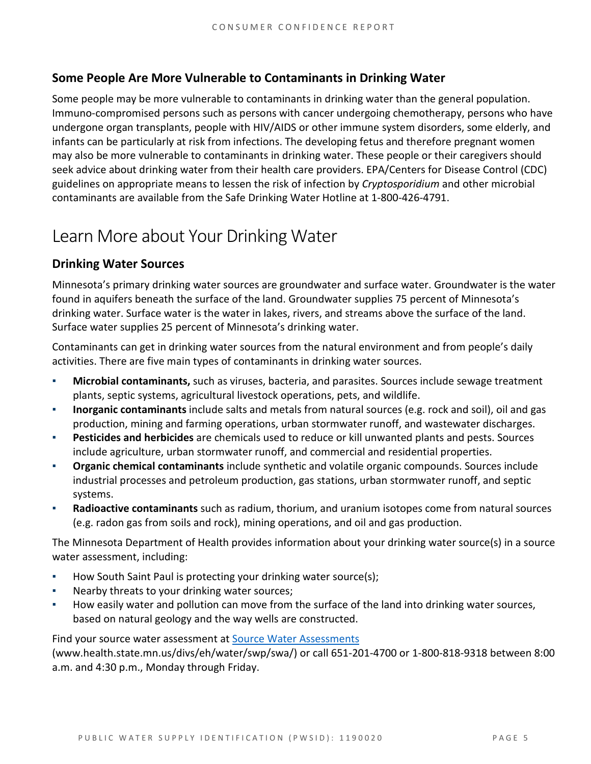#### **Some People Are More Vulnerable to Contaminants in Drinking Water**

Some people may be more vulnerable to contaminants in drinking water than the general population. Immuno-compromised persons such as persons with cancer undergoing chemotherapy, persons who have undergone organ transplants, people with HIV/AIDS or other immune system disorders, some elderly, and infants can be particularly at risk from infections. The developing fetus and therefore pregnant women may also be more vulnerable to contaminants in drinking water. These people or their caregivers should seek advice about drinking water from their health care providers. EPA/Centers for Disease Control (CDC) guidelines on appropriate means to lessen the risk of infection by *Cryptosporidium* and other microbial contaminants are available from the Safe Drinking Water Hotline at 1-800-426-4791.

## Learn More about Your Drinking Water

#### **Drinking Water Sources**

Minnesota's primary drinking water sources are groundwater and surface water. Groundwater is the water found in aquifers beneath the surface of the land. Groundwater supplies 75 percent of Minnesota's drinking water. Surface water is the water in lakes, rivers, and streams above the surface of the land. Surface water supplies 25 percent of Minnesota's drinking water.

Contaminants can get in drinking water sources from the natural environment and from people's daily activities. There are five main types of contaminants in drinking water sources.

- **Microbial contaminants,** such as viruses, bacteria, and parasites. Sources include sewage treatment plants, septic systems, agricultural livestock operations, pets, and wildlife.
- **Inorganic contaminants** include salts and metals from natural sources (e.g. rock and soil), oil and gas production, mining and farming operations, urban stormwater runoff, and wastewater discharges.
- **Pesticides and herbicides** are chemicals used to reduce or kill unwanted plants and pests. Sources include agriculture, urban stormwater runoff, and commercial and residential properties.
- **Organic chemical contaminants** include synthetic and volatile organic compounds. Sources include industrial processes and petroleum production, gas stations, urban stormwater runoff, and septic systems.
- **Radioactive contaminants** such as radium, thorium, and uranium isotopes come from natural sources (e.g. radon gas from soils and rock), mining operations, and oil and gas production.

The Minnesota Department of Health provides information about your drinking water source(s) in a source water assessment, including:

- How South Saint Paul is protecting your drinking water source(s);
- Nearby threats to your drinking water sources;
- How easily water and pollution can move from the surface of the land into drinking water sources, based on natural geology and the way wells are constructed.

Find your source water assessment a[t Source Water Assessments](http://www.health.state.mn.us/divs/eh/water/swp/swa/index.html) 

[\(www.health.state.mn.us/divs/eh/water/swp/swa/\)](http://www.health.state.mn.us/divs/eh/water/swp/swa/index.html) or call 651-201-4700 or 1-800-818-9318 between 8:00 a.m. and 4:30 p.m., Monday through Friday.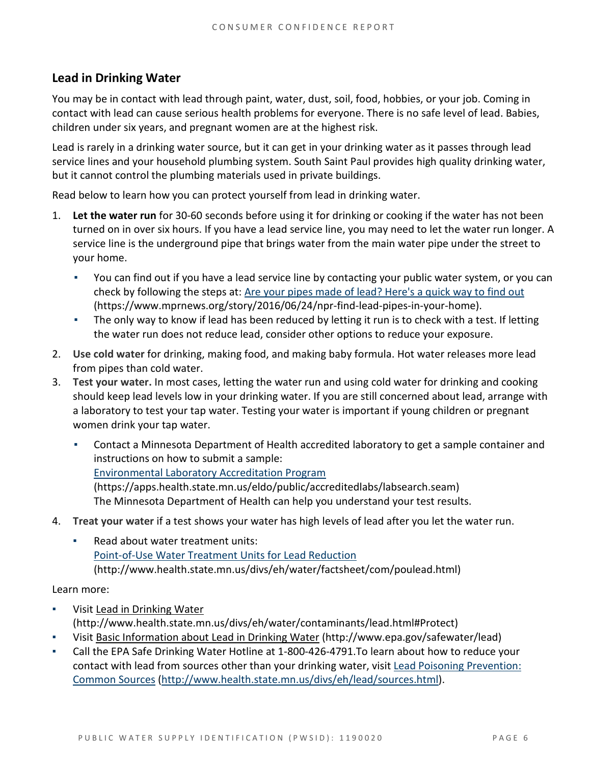#### **Lead in Drinking Water**

You may be in contact with lead through paint, water, dust, soil, food, hobbies, or your job. Coming in contact with lead can cause serious health problems for everyone. There is no safe level of lead. Babies, children under six years, and pregnant women are at the highest risk.

Lead is rarely in a drinking water source, but it can get in your drinking water as it passes through lead service lines and your household plumbing system. South Saint Paul provides high quality drinking water, but it cannot control the plumbing materials used in private buildings.

Read below to learn how you can protect yourself from lead in drinking water.

- 1. **Let the water run** for 30-60 seconds before using it for drinking or cooking if the water has not been turned on in over six hours. If you have a lead service line, you may need to let the water run longer. A service line is the underground pipe that brings water from the main water pipe under the street to your home.
	- You can find out if you have a lead service line by contacting your public water system, or you can check by following the steps at: [Are your pipes made of lead? Here's a quick way to find out](https://www.mprnews.org/story/2016/06/24/npr-find-lead-pipes-in-your-home)  [\(https://www.mprnews.org/story/2016/06/24/npr-find-lead-pipes-in-your-home\).](https://www.mprnews.org/story/2016/06/24/npr-find-lead-pipes-in-your-home)
	- The only way to know if lead has been reduced by letting it run is to check with a test. If letting the water run does not reduce lead, consider other options to reduce your exposure.
- 2. **Use cold water** for drinking, making food, and making baby formula. Hot water releases more lead from pipes than cold water.
- 3. **Test your water.** In most cases, letting the water run and using cold water for drinking and cooking should keep lead levels low in your drinking water. If you are still concerned about lead, arrange with a laboratory to test your tap water. Testing your water is important if young children or pregnant women drink your tap water.
	- Contact a Minnesota Department of Health accredited laboratory to get a sample container and instructions on how to submit a sample: [Environmental Laboratory Accreditation Program](https://mn365.sharepoint.com/teams/MDH/permanent/comm_proj/PlainLanguageProject/Shared%20Documents/Environmental%20Laboratory%20Accreditation%20Program%20(https:/apps.health.state.mn.us/eldo/public/accreditedlabs/labsearch.seam))  [\(https://apps.health.state.mn.us/eldo/public/accreditedlabs/labsearch.seam\)](https://mn365.sharepoint.com/teams/MDH/permanent/comm_proj/PlainLanguageProject/Shared%20Documents/Environmental%20Laboratory%20Accreditation%20Program%20(https:/apps.health.state.mn.us/eldo/public/accreditedlabs/labsearch.seam)) The Minnesota Department of Health can help you understand your test results.
- 4. **Treat your water** if a test shows your water has high levels of lead after you let the water run.
	- Read about water treatment units: [Point-of-Use Water Treatment Units for Lead Reduction](http://www.health.state.mn.us/divs/eh/water/factsheet/com/poulead.html)  [\(http://www.health.state.mn.us/divs/eh/water/factsheet/com/poulead.html\)](http://www.health.state.mn.us/divs/eh/water/factsheet/com/poulead.html)

Learn more:

- Visit Lead in Drinking Water [\(http://www.health.state.mn.us/divs/eh/water/contaminants/lead.html#Protect\)](http://www.health.state.mn.us/divs/eh/water/contaminants/lead.html#Protect)
- Visit Basic [Information about Lead in Drinking Water](http://www.epa.gov/safewater/lead) (http://www.epa.gov/safewater/lead)
- Call the EPA Safe Drinking Water Hotline at 1-800-426-4791. To learn about how to reduce your contact with lead from sources other than your drinking water, visi[t Lead Poisoning Prevention:](http://www.health.state.mn.us/divs/eh/lead/sources.html)  [Common Sources](http://www.health.state.mn.us/divs/eh/lead/sources.html) [\(http://www.health.state.mn.us/divs/eh/lead/sources.html\)](http://www.health.state.mn.us/divs/eh/lead/sources.html).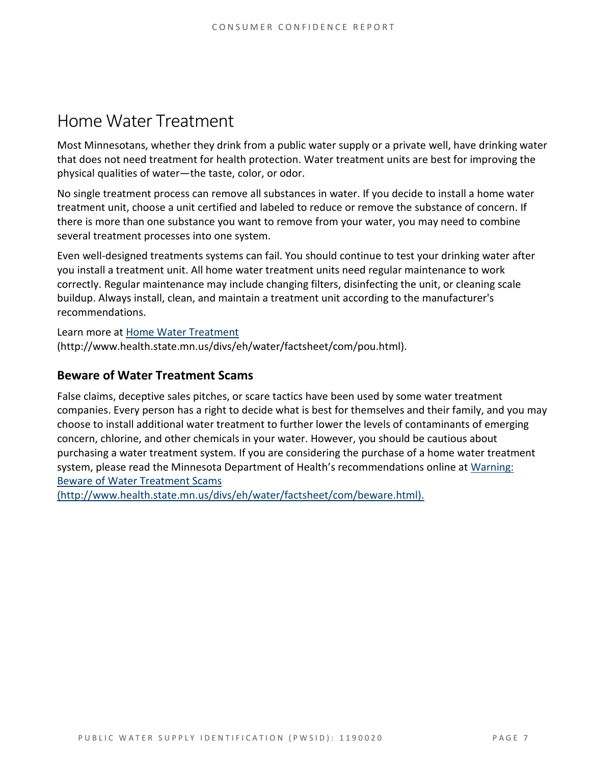### Home Water Treatment

Most Minnesotans, whether they drink from a public water supply or a private well, have drinking water that does not need treatment for health protection. Water treatment units are best for improving the physical qualities of water—the taste, color, or odor.

No single treatment process can remove all substances in water. If you decide to install a home water treatment unit, choose a unit certified and labeled to reduce or remove the substance of concern. If there is more than one substance you want to remove from your water, you may need to combine several treatment processes into one system.

Even well-designed treatments systems can fail. You should continue to test your drinking water after you install a treatment unit. All home water treatment units need regular maintenance to work correctly. Regular maintenance may include changing filters, disinfecting the unit, or cleaning scale buildup. Always install, clean, and maintain a treatment unit according to the manufacturer's recommendations.

Learn more at [Home Water Treatment](http://www.health.state.mn.us/divs/eh/water/factsheet/com/pou.html) 

[\(http://www.health.state.mn.us/divs/eh/water/factsheet/com/pou.html\).](http://www.health.state.mn.us/divs/eh/water/factsheet/com/pou.html)

#### **Beware of Water Treatment Scams**

False claims, deceptive sales pitches, or scare tactics have been used by some water treatment companies. Every person has a right to decide what is best for themselves and their family, and you may choose to install additional water treatment to further lower the levels of contaminants of emerging concern, chlorine, and other chemicals in your water. However, you should be cautious about purchasing a water treatment system. If you are considering the purchase of a home water treatment system, please read the Minnesota Department of Health's recommendations online at [Warning:](http://www.health.state.mn.us/divs/eh/water/factsheet/com/beware.html)  [Beware of Water Treatment Scams](http://www.health.state.mn.us/divs/eh/water/factsheet/com/beware.html) 

[\(http://www.health.state.mn.us/divs/eh/water/factsheet/com/beware.html\).](http://www.health.state.mn.us/divs/eh/water/factsheet/com/beware.html)